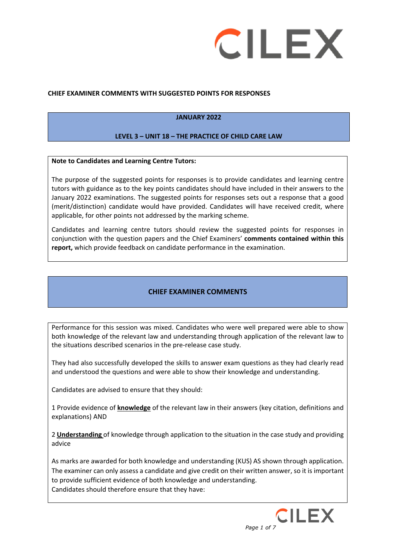

### **CHIEF EXAMINER COMMENTS WITH SUGGESTED POINTS FOR RESPONSES**

# **JANUARY 2022**

### **LEVEL 3 – UNIT 18 – THE PRACTICE OF CHILD CARE LAW**

#### **Note to Candidates and Learning Centre Tutors:**

The purpose of the suggested points for responses is to provide candidates and learning centre tutors with guidance as to the key points candidates should have included in their answers to the January 2022 examinations. The suggested points for responses sets out a response that a good (merit/distinction) candidate would have provided. Candidates will have received credit, where applicable, for other points not addressed by the marking scheme.

Candidates and learning centre tutors should review the suggested points for responses in conjunction with the question papers and the Chief Examiners' **comments contained within this report,** which provide feedback on candidate performance in the examination.

# **CHIEF EXAMINER COMMENTS**

Performance for this session was mixed. Candidates who were well prepared were able to show both knowledge of the relevant law and understanding through application of the relevant law to the situations described scenarios in the pre-release case study.

They had also successfully developed the skills to answer exam questions as they had clearly read and understood the questions and were able to show their knowledge and understanding.

Candidates are advised to ensure that they should:

1 Provide evidence of **knowledge** of the relevant law in their answers (key citation, definitions and explanations) AND

2 **Understanding** of knowledge through application to the situation in the case study and providing advice

As marks are awarded for both knowledge and understanding (KUS) AS shown through application. The examiner can only assess a candidate and give credit on their written answer, so it is important to provide sufficient evidence of both knowledge and understanding. Candidates should therefore ensure that they have:

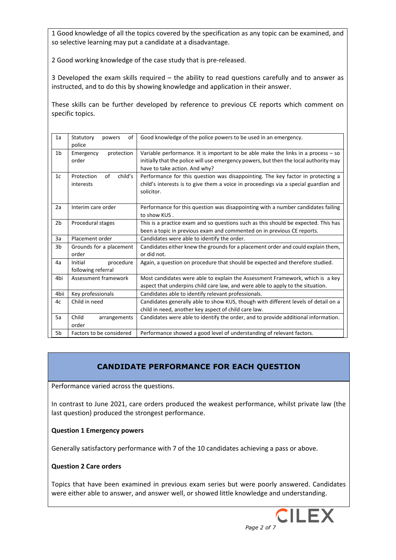1 Good knowledge of all the topics covered by the specification as any topic can be examined, and so selective learning may put a candidate at a disadvantage.

2 Good working knowledge of the case study that is pre-released.

3 Developed the exam skills required – the ability to read questions carefully and to answer as instructed, and to do this by showing knowledge and application in their answer.

These skills can be further developed by reference to previous CE reports which comment on specific topics.

| 1a             | Statutory<br>οf<br>powers<br>police        | Good knowledge of the police powers to be used in an emergency.                                                                                                                                               |
|----------------|--------------------------------------------|---------------------------------------------------------------------------------------------------------------------------------------------------------------------------------------------------------------|
| 1 <sub>b</sub> | protection<br>Emergency<br>order           | Variable performance. It is important to be able make the links in a process $-$ so<br>initially that the police will use emergency powers, but then the local authority may<br>have to take action. And why? |
| 1 <sub>c</sub> | child's<br>of<br>Protection<br>interests   | Performance for this question was disappointing. The key factor in protecting a<br>child's interests is to give them a voice in proceedings via a special guardian and<br>solicitor.                          |
| 2a             | Interim care order                         | Performance for this question was disappointing with a number candidates failing<br>to show KUS.                                                                                                              |
| 2 <sub>b</sub> | Procedural stages                          | This is a practice exam and so questions such as this should be expected. This has<br>been a topic in previous exam and commented on in previous CE reports.                                                  |
| 3a             | Placement order                            | Candidates were able to identify the order.                                                                                                                                                                   |
| 3b             | Grounds for a placement<br>order           | Candidates either knew the grounds for a placement order and could explain them,<br>or did not.                                                                                                               |
| 4a             | procedure<br>Initial<br>following referral | Again, a question on procedure that should be expected and therefore studied.                                                                                                                                 |
| 4bi            | Assessment framework                       | Most candidates were able to explain the Assessment Framework, which is a key<br>aspect that underpins child care law, and were able to apply to the situation.                                               |
| 4bii           | Key professionals                          | Candidates able to identify relevant professionals.                                                                                                                                                           |
| 4c             | Child in need                              | Candidates generally able to show KUS, though with different levels of detail on a<br>child in need, another key aspect of child care law.                                                                    |
| 5a             | Child<br>arrangements<br>order             | Candidates were able to identify the order, and to provide additional information.                                                                                                                            |
| 5b             | Factors to be considered                   | Performance showed a good level of understanding of relevant factors.                                                                                                                                         |

# **CANDIDATE PERFORMANCE FOR EACH QUESTION**

Performance varied across the questions.

In contrast to June 2021, care orders produced the weakest performance, whilst private law (the last question) produced the strongest performance.

### **Question 1 Emergency powers**

Generally satisfactory performance with 7 of the 10 candidates achieving a pass or above.

#### **Question 2 Care orders**

Topics that have been examined in previous exam series but were poorly answered. Candidates were either able to answer, and answer well, or showed little knowledge and understanding.

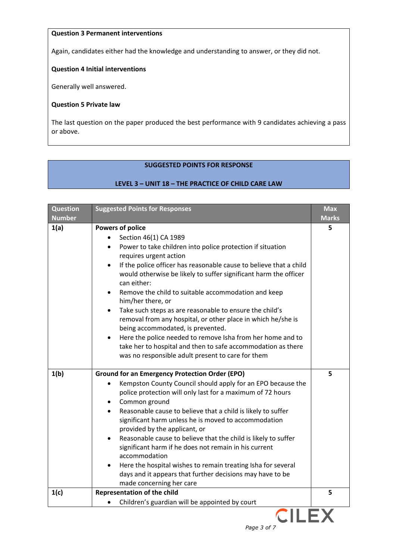# **Question 3 Permanent interventions**

Again, candidates either had the knowledge and understanding to answer, or they did not.

# **Question 4 Initial interventions**

Generally well answered.

### **Question 5 Private law**

The last question on the paper produced the best performance with 9 candidates achieving a pass or above.

# **SUGGESTED POINTS FOR RESPONSE**

# **LEVEL 3 – UNIT 18 – THE PRACTICE OF CHILD CARE LAW**

| <b>Question</b><br><b>Number</b> | <b>Suggested Points for Responses</b>                                                                                                                                                                                                                                                                                                                                                                                                                                                                                                                                                                                                                                                                                                                      | <b>Max</b>   |
|----------------------------------|------------------------------------------------------------------------------------------------------------------------------------------------------------------------------------------------------------------------------------------------------------------------------------------------------------------------------------------------------------------------------------------------------------------------------------------------------------------------------------------------------------------------------------------------------------------------------------------------------------------------------------------------------------------------------------------------------------------------------------------------------------|--------------|
|                                  |                                                                                                                                                                                                                                                                                                                                                                                                                                                                                                                                                                                                                                                                                                                                                            | <b>Marks</b> |
| 1(a)                             | <b>Powers of police</b><br>Section 46(1) CA 1989<br>Power to take children into police protection if situation<br>requires urgent action<br>If the police officer has reasonable cause to believe that a child<br>$\bullet$<br>would otherwise be likely to suffer significant harm the officer<br>can either:<br>Remove the child to suitable accommodation and keep<br>him/her there, or<br>Take such steps as are reasonable to ensure the child's<br>$\bullet$<br>removal from any hospital, or other place in which he/she is<br>being accommodated, is prevented.<br>Here the police needed to remove Isha from her home and to<br>take her to hospital and then to safe accommodation as there<br>was no responsible adult present to care for them | 5            |
| 1(b)                             | <b>Ground for an Emergency Protection Order (EPO)</b><br>Kempston County Council should apply for an EPO because the<br>police protection will only last for a maximum of 72 hours<br>Common ground<br>Reasonable cause to believe that a child is likely to suffer<br>significant harm unless he is moved to accommodation<br>provided by the applicant, or<br>Reasonable cause to believe that the child is likely to suffer<br>significant harm if he does not remain in his current<br>accommodation<br>Here the hospital wishes to remain treating Isha for several<br>days and it appears that further decisions may have to be<br>made concerning her care                                                                                          | 5            |
| 1(c)                             | <b>Representation of the child</b><br>Children's guardian will be appointed by court                                                                                                                                                                                                                                                                                                                                                                                                                                                                                                                                                                                                                                                                       | 5            |
|                                  |                                                                                                                                                                                                                                                                                                                                                                                                                                                                                                                                                                                                                                                                                                                                                            |              |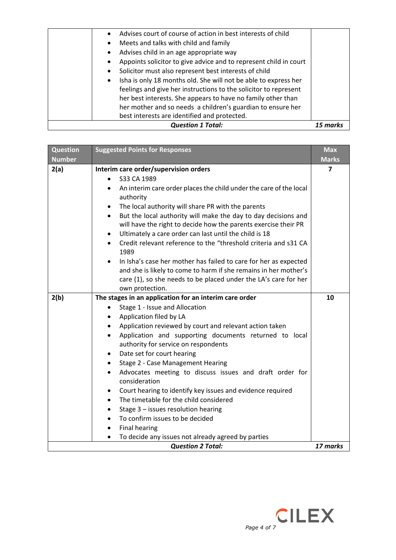| <b>Question 1 Total:</b> |                                                                              |  |
|--------------------------|------------------------------------------------------------------------------|--|
|                          | best interests are identified and protected.                                 |  |
|                          | her mother and so needs a children's guardian to ensure her                  |  |
|                          | her best interests. She appears to have no family other than                 |  |
|                          | feelings and give her instructions to the solicitor to represent             |  |
|                          | Isha is only 18 months old. She will not be able to express her<br>$\bullet$ |  |
|                          | Solicitor must also represent best interests of child                        |  |
|                          | Appoints solicitor to give advice and to represent child in court            |  |
|                          | Advises child in an age appropriate way                                      |  |
|                          | Meets and talks with child and family<br>$\bullet$                           |  |
|                          | Advises court of course of action in best interests of child                 |  |
|                          |                                                                              |  |

| <b>Question</b><br><b>Number</b> | <b>Suggested Points for Responses</b>                                                                                                                                                                                                                                                                                                                                                                                                                                                                                                                                                                                                                                                                                                                                                                                       | <b>Max</b><br><b>Marks</b> |
|----------------------------------|-----------------------------------------------------------------------------------------------------------------------------------------------------------------------------------------------------------------------------------------------------------------------------------------------------------------------------------------------------------------------------------------------------------------------------------------------------------------------------------------------------------------------------------------------------------------------------------------------------------------------------------------------------------------------------------------------------------------------------------------------------------------------------------------------------------------------------|----------------------------|
| 2(a)                             | Interim care order/supervision orders<br>S33 CA 1989<br>An interim care order places the child under the care of the local<br>$\bullet$<br>authority<br>The local authority will share PR with the parents<br>$\bullet$<br>But the local authority will make the day to day decisions and<br>$\bullet$<br>will have the right to decide how the parents exercise their PR<br>Ultimately a care order can last until the child is 18<br>$\bullet$<br>Credit relevant reference to the "threshold criteria and s31 CA<br>1989<br>In Isha's case her mother has failed to care for her as expected<br>and she is likely to come to harm if she remains in her mother's<br>care (1), so she needs to be placed under the LA's care for her<br>own protection.                                                                   | 7                          |
| 2(b)                             | The stages in an application for an interim care order<br>Stage 1 - Issue and Allocation<br>Application filed by LA<br>Application reviewed by court and relevant action taken<br>$\bullet$<br>Application and supporting documents returned to local<br>$\bullet$<br>authority for service on respondents<br>Date set for court hearing<br>$\bullet$<br>Stage 2 - Case Management Hearing<br>$\bullet$<br>Advocates meeting to discuss issues and draft order for<br>$\bullet$<br>consideration<br>Court hearing to identify key issues and evidence required<br>٠<br>The timetable for the child considered<br>$\bullet$<br>Stage $3$ – issues resolution hearing<br>$\bullet$<br>To confirm issues to be decided<br><b>Final hearing</b><br>$\bullet$<br>To decide any issues not already agreed by parties<br>$\bullet$ | 10                         |
|                                  | <b>Question 2 Total:</b>                                                                                                                                                                                                                                                                                                                                                                                                                                                                                                                                                                                                                                                                                                                                                                                                    | 17 marks                   |

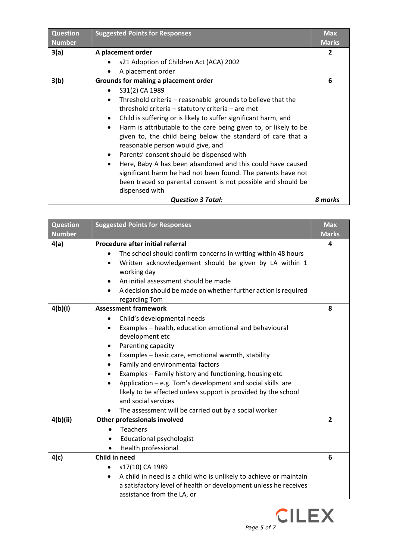| <b>Question</b><br><b>Number</b>    | <b>Suggested Points for Responses</b>                                         | <b>Max</b><br><b>Marks</b> |
|-------------------------------------|-------------------------------------------------------------------------------|----------------------------|
| 3(a)                                | A placement order                                                             | $\overline{2}$             |
|                                     | s21 Adoption of Children Act (ACA) 2002                                       |                            |
|                                     | A placement order                                                             |                            |
| 3(b)                                | Grounds for making a placement order                                          | 6                          |
|                                     | S31(2) CA 1989                                                                |                            |
|                                     | Threshold criteria – reasonable grounds to believe that the<br>$\bullet$      |                            |
|                                     | threshold criteria - statutory criteria - are met                             |                            |
|                                     | Child is suffering or is likely to suffer significant harm, and<br>$\bullet$  |                            |
|                                     | Harm is attributable to the care being given to, or likely to be<br>$\bullet$ |                            |
|                                     | given to, the child being below the standard of care that a                   |                            |
|                                     | reasonable person would give, and                                             |                            |
|                                     | Parents' consent should be dispensed with<br>$\bullet$                        |                            |
|                                     | Here, Baby A has been abandoned and this could have caused<br>$\bullet$       |                            |
|                                     | significant harm he had not been found. The parents have not                  |                            |
|                                     | been traced so parental consent is not possible and should be                 |                            |
|                                     | dispensed with                                                                |                            |
| <b>Question 3 Total:</b><br>8 marks |                                                                               |                            |

| <b>Question</b><br><b>Number</b> | <b>Suggested Points for Responses</b>                                                                                                                                                                                                                              | <b>Max</b><br><b>Marks</b> |
|----------------------------------|--------------------------------------------------------------------------------------------------------------------------------------------------------------------------------------------------------------------------------------------------------------------|----------------------------|
| 4(a)                             | <b>Procedure after initial referral</b>                                                                                                                                                                                                                            | 4                          |
|                                  | The school should confirm concerns in writing within 48 hours<br>Written acknowledgement should be given by LA within 1<br>working day<br>An initial assessment should be made<br>A decision should be made on whether further action is required<br>regarding Tom |                            |
| 4(b)(i)                          | <b>Assessment framework</b>                                                                                                                                                                                                                                        | 8                          |
|                                  | Child's developmental needs<br>٠                                                                                                                                                                                                                                   |                            |
|                                  | Examples - health, education emotional and behavioural<br>$\bullet$                                                                                                                                                                                                |                            |
|                                  | development etc                                                                                                                                                                                                                                                    |                            |
|                                  | Parenting capacity                                                                                                                                                                                                                                                 |                            |
|                                  | Examples - basic care, emotional warmth, stability<br>٠                                                                                                                                                                                                            |                            |
|                                  | Family and environmental factors                                                                                                                                                                                                                                   |                            |
|                                  | Examples - Family history and functioning, housing etc<br>$\bullet$                                                                                                                                                                                                |                            |
|                                  | Application - e.g. Tom's development and social skills are                                                                                                                                                                                                         |                            |
|                                  | likely to be affected unless support is provided by the school<br>and social services                                                                                                                                                                              |                            |
|                                  | The assessment will be carried out by a social worker<br>$\bullet$                                                                                                                                                                                                 |                            |
| 4(b)(ii)                         | <b>Other professionals involved</b>                                                                                                                                                                                                                                | $\overline{2}$             |
|                                  | <b>Teachers</b>                                                                                                                                                                                                                                                    |                            |
|                                  | <b>Educational psychologist</b><br>$\bullet$                                                                                                                                                                                                                       |                            |
|                                  | Health professional<br>$\bullet$                                                                                                                                                                                                                                   |                            |
| 4(c)                             | Child in need                                                                                                                                                                                                                                                      | 6                          |
|                                  | s17(10) CA 1989                                                                                                                                                                                                                                                    |                            |
|                                  | A child in need is a child who is unlikely to achieve or maintain                                                                                                                                                                                                  |                            |
|                                  | a satisfactory level of health or development unless he receives                                                                                                                                                                                                   |                            |
|                                  | assistance from the LA, or                                                                                                                                                                                                                                         |                            |

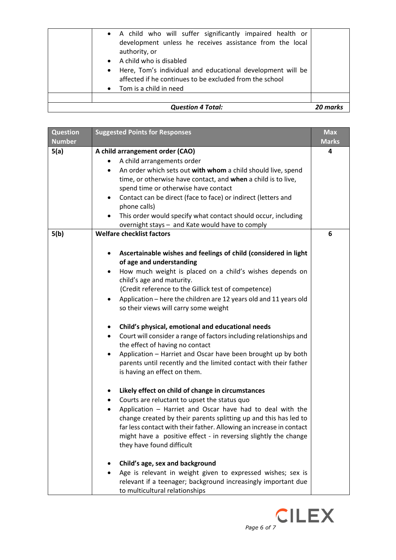| <b>Question</b><br><b>Number</b> | <b>Suggested Points for Responses</b>                                                                                                                                                                                                                                                                                                                                                                                                                                                                                                                                                                                                                                                                                                                                                                                                                                                                                                                                                                                                                                                                                                                                                                                                                                                                                                                                                  | <b>Max</b><br><b>Marks</b> |
|----------------------------------|----------------------------------------------------------------------------------------------------------------------------------------------------------------------------------------------------------------------------------------------------------------------------------------------------------------------------------------------------------------------------------------------------------------------------------------------------------------------------------------------------------------------------------------------------------------------------------------------------------------------------------------------------------------------------------------------------------------------------------------------------------------------------------------------------------------------------------------------------------------------------------------------------------------------------------------------------------------------------------------------------------------------------------------------------------------------------------------------------------------------------------------------------------------------------------------------------------------------------------------------------------------------------------------------------------------------------------------------------------------------------------------|----------------------------|
| 5(a)                             | A child arrangement order (CAO)<br>A child arrangements order<br>٠<br>An order which sets out with whom a child should live, spend<br>$\bullet$<br>time, or otherwise have contact, and when a child is to live,<br>spend time or otherwise have contact<br>Contact can be direct (face to face) or indirect (letters and<br>$\bullet$<br>phone calls)<br>This order would specify what contact should occur, including<br>overnight stays - and Kate would have to comply                                                                                                                                                                                                                                                                                                                                                                                                                                                                                                                                                                                                                                                                                                                                                                                                                                                                                                             | 4                          |
| 5(b)                             | <b>Welfare checklist factors</b><br>Ascertainable wishes and feelings of child (considered in light<br>of age and understanding<br>How much weight is placed on a child's wishes depends on<br>child's age and maturity.<br>(Credit reference to the Gillick test of competence)<br>Application - here the children are 12 years old and 11 years old<br>so their views will carry some weight<br>Child's physical, emotional and educational needs<br>٠<br>Court will consider a range of factors including relationships and<br>$\bullet$<br>the effect of having no contact<br>Application - Harriet and Oscar have been brought up by both<br>$\bullet$<br>parents until recently and the limited contact with their father<br>is having an effect on them.<br>Likely effect on child of change in circumstances<br>٠<br>Courts are reluctant to upset the status quo<br>Application - Harriet and Oscar have had to deal with the<br>change created by their parents splitting up and this has led to<br>far less contact with their father. Allowing an increase in contact<br>might have a positive effect - in reversing slightly the change<br>they have found difficult<br>Child's age, sex and background<br>Age is relevant in weight given to expressed wishes; sex is<br>relevant if a teenager; background increasingly important due<br>to multicultural relationships | 6                          |